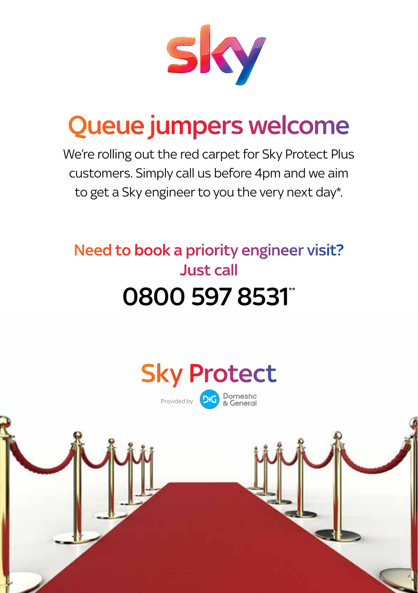

# Queue jumpers welcome

We're rolling out the red carpet for Sky Protect Plus customers. Simply call us before 4pm and we aim to get a Sky engineer to you the very next day\*.

### Need to book a priority engineer visit? Just call 0800 597 8531